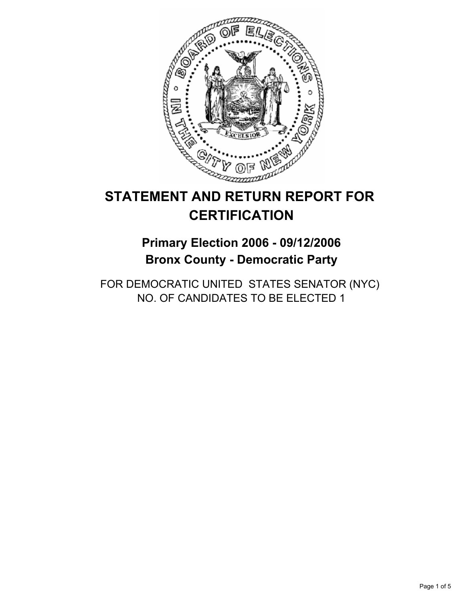

# **STATEMENT AND RETURN REPORT FOR CERTIFICATION**

## **Primary Election 2006 - 09/12/2006 Bronx County - Democratic Party**

FOR DEMOCRATIC UNITED STATES SENATOR (NYC) NO. OF CANDIDATES TO BE ELECTED 1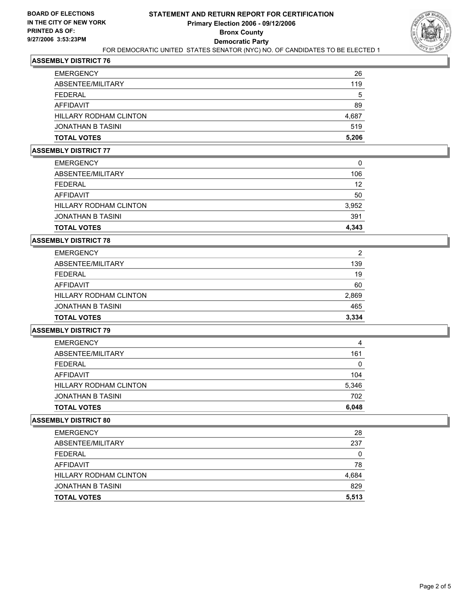

## **ASSEMBLY DISTRICT 76**

| <b>JONATHAN B TASINI</b><br><b>TOTAL VOTES</b> | 519<br>5,206 |
|------------------------------------------------|--------------|
| HILLARY RODHAM CLINTON                         | 4,687        |
| AFFIDAVIT                                      | 89           |
| FFDFRAI                                        | 5            |
| ABSENTEE/MILITARY                              | 119          |
| <b>EMERGENCY</b>                               | 26           |

#### **ASSEMBLY DISTRICT 77**

| <b>TOTAL VOTES</b>            | 4,343 |
|-------------------------------|-------|
| <b>JONATHAN B TASINI</b>      | 391   |
| <b>HILLARY RODHAM CLINTON</b> | 3,952 |
| AFFIDAVIT                     | 50    |
| <b>FEDERAL</b>                | 12    |
| ABSENTEE/MILITARY             | 106   |
| <b>EMERGENCY</b>              | 0     |

#### **ASSEMBLY DISTRICT 78**

| <b>EMERGENCY</b>       | 2     |
|------------------------|-------|
| ABSENTEE/MILITARY      | 139   |
| FEDERAL                | 19    |
| AFFIDAVIT              | 60    |
| HILLARY RODHAM CLINTON | 2,869 |
| JONATHAN B TASINI      | 465   |
| <b>TOTAL VOTES</b>     | 3,334 |

## **ASSEMBLY DISTRICT 79**

| <b>TOTAL VOTES</b>       | 6,048 |
|--------------------------|-------|
| <b>JONATHAN B TASINI</b> | 702   |
| HILLARY RODHAM CLINTON   | 5,346 |
| AFFIDAVIT                | 104   |
| FFDFRAI                  | 0     |
| ABSENTEE/MILITARY        | 161   |
| <b>EMERGENCY</b>         | 4     |

#### **ASSEMBLY DISTRICT 80**

| <b>EMERGENCY</b>              | 28    |
|-------------------------------|-------|
| ABSENTEE/MILITARY             | 237   |
| FEDERAL                       | 0     |
| AFFIDAVIT                     | 78    |
| <b>HILLARY RODHAM CLINTON</b> | 4,684 |
| JONATHAN B TASINI             | 829   |
| <b>TOTAL VOTES</b>            | 5,513 |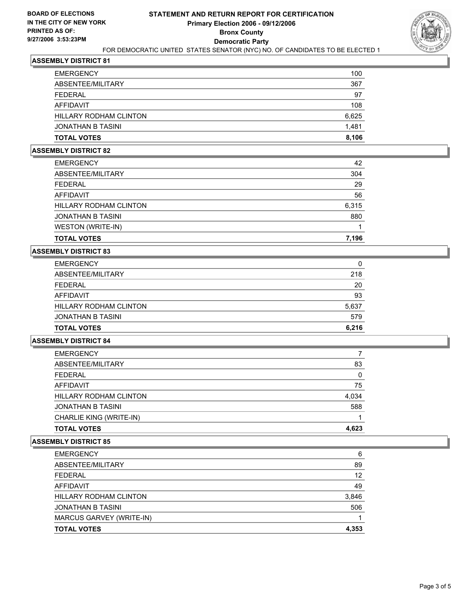

## **ASSEMBLY DISTRICT 81**

| <b>TOTAL VOTES</b>     | 8,106 |
|------------------------|-------|
| JONATHAN B TASINI      | 1,481 |
| HILLARY RODHAM CLINTON | 6,625 |
| AFFIDAVIT              | 108   |
| FEDERAL                | 97    |
| ABSENTEE/MILITARY      | 367   |
| <b>EMERGENCY</b>       | 100   |

#### **ASSEMBLY DISTRICT 82**

| <b>EMERGENCY</b>              | 42    |
|-------------------------------|-------|
| ABSENTEE/MILITARY             | 304   |
| <b>FEDERAL</b>                | 29    |
| AFFIDAVIT                     | 56    |
| <b>HILLARY RODHAM CLINTON</b> | 6,315 |
| <b>JONATHAN B TASINI</b>      | 880   |
| WESTON (WRITE-IN)             |       |
| <b>TOTAL VOTES</b>            | 7,196 |

## **ASSEMBLY DISTRICT 83**

| <b>EMERGENCY</b>       | 0     |
|------------------------|-------|
| ABSENTEE/MILITARY      | 218   |
| FEDERAL                | 20    |
| AFFIDAVIT              | 93    |
| HILLARY RODHAM CLINTON | 5,637 |
| JONATHAN B TASINI      | 579   |
| <b>TOTAL VOTES</b>     | 6,216 |

#### **ASSEMBLY DISTRICT 84**

| <b>EMERGENCY</b>        |       |
|-------------------------|-------|
| ABSENTEE/MILITARY       | 83    |
| <b>FEDERAL</b>          |       |
| AFFIDAVIT               | 75    |
| HILLARY RODHAM CLINTON  | 4,034 |
| JONATHAN B TASINI       | 588   |
| CHARLIE KING (WRITE-IN) |       |
| <b>TOTAL VOTES</b>      | 4,623 |

### **ASSEMBLY DISTRICT 85**

| <b>EMERGENCY</b>              | 6     |
|-------------------------------|-------|
| ABSENTEE/MILITARY             | 89    |
| FEDERAL                       | 12    |
| AFFIDAVIT                     | 49    |
| <b>HILLARY RODHAM CLINTON</b> | 3,846 |
| <b>JONATHAN B TASINI</b>      | 506   |
| MARCUS GARVEY (WRITE-IN)      |       |
| <b>TOTAL VOTES</b>            | 4,353 |
|                               |       |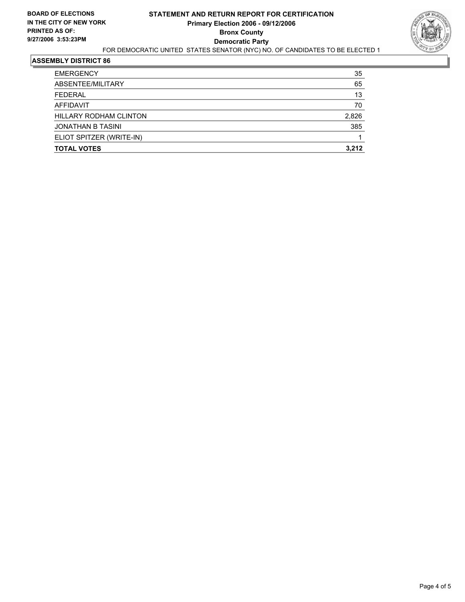

## **ASSEMBLY DISTRICT 86**

| <b>TOTAL VOTES</b>       | 3,212 |
|--------------------------|-------|
| ELIOT SPITZER (WRITE-IN) |       |
| <b>JONATHAN B TASINI</b> | 385   |
| HILLARY RODHAM CLINTON   | 2,826 |
| AFFIDAVIT                | 70    |
| <b>FEDERAL</b>           | 13    |
| ABSENTEE/MILITARY        | 65    |
| <b>EMERGENCY</b>         | 35    |